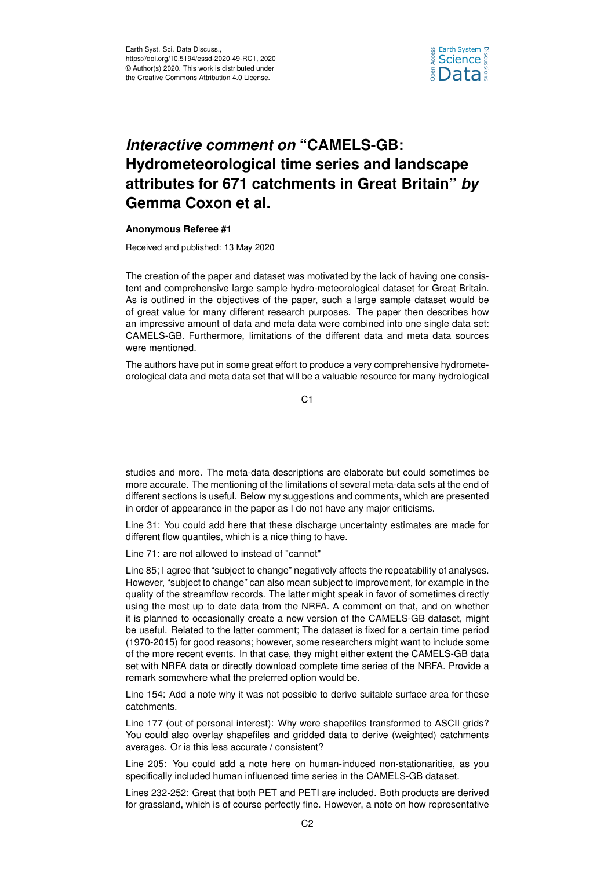

## *Interactive comment on* **"CAMELS-GB: Hydrometeorological time series and landscape attributes for 671 catchments in Great Britain"** *by* **Gemma Coxon et al.**

## **Anonymous Referee #1**

Received and published: 13 May 2020

The creation of the paper and dataset was motivated by the lack of having one consistent and comprehensive large sample hydro-meteorological dataset for Great Britain. As is outlined in the objectives of the paper, such a large sample dataset would be of great value for many different research purposes. The paper then describes how an impressive amount of data and meta data were combined into one single data set: CAMELS-GB. Furthermore, limitations of the different data and meta data sources were mentioned.

The authors have put in some great effort to produce a very comprehensive hydrometeorological data and meta data set that will be a valuable resource for many hydrological

 $C<sub>1</sub>$ 

studies and more. The meta-data descriptions are elaborate but could sometimes be more accurate. The mentioning of the limitations of several meta-data sets at the end of different sections is useful. Below my suggestions and comments, which are presented in order of appearance in the paper as I do not have any major criticisms.

Line 31: You could add here that these discharge uncertainty estimates are made for different flow quantiles, which is a nice thing to have.

Line 71: are not allowed to instead of "cannot"

Line 85; I agree that "subject to change" negatively affects the repeatability of analyses. However, "subject to change" can also mean subject to improvement, for example in the quality of the streamflow records. The latter might speak in favor of sometimes directly using the most up to date data from the NRFA. A comment on that, and on whether it is planned to occasionally create a new version of the CAMELS-GB dataset, might be useful. Related to the latter comment; The dataset is fixed for a certain time period (1970-2015) for good reasons; however, some researchers might want to include some of the more recent events. In that case, they might either extent the CAMELS-GB data set with NRFA data or directly download complete time series of the NRFA. Provide a remark somewhere what the preferred option would be.

Line 154: Add a note why it was not possible to derive suitable surface area for these catchments.

Line 177 (out of personal interest): Why were shapefiles transformed to ASCII grids? You could also overlay shapefiles and gridded data to derive (weighted) catchments averages. Or is this less accurate / consistent?

Line 205: You could add a note here on human-induced non-stationarities, as you specifically included human influenced time series in the CAMELS-GB dataset.

Lines 232-252: Great that both PET and PETI are included. Both products are derived for grassland, which is of course perfectly fine. However, a note on how representative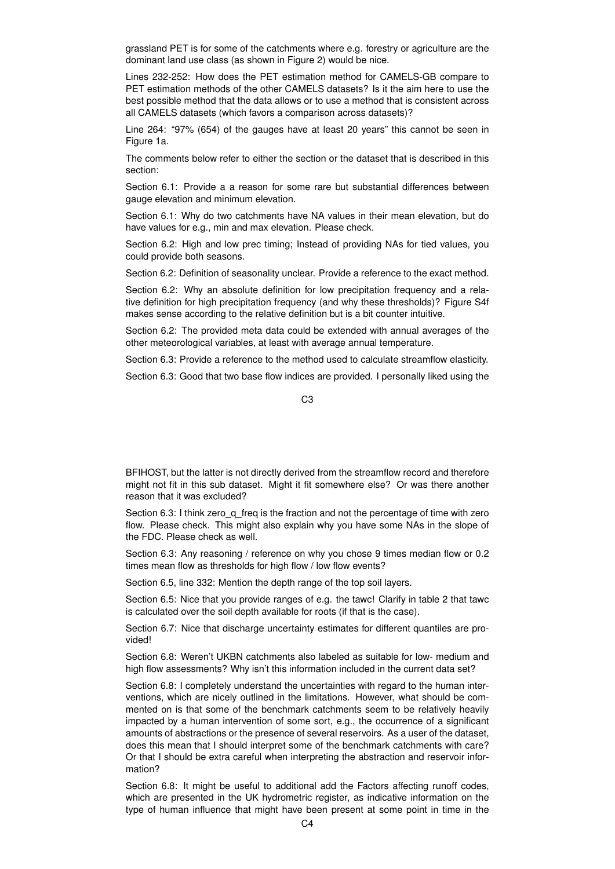grassland PET is for some of the catchments where e.g. forestry or agriculture are the dominant land use class (as shown in Figure 2) would be nice.

Lines 232-252: How does the PET estimation method for CAMELS-GB compare to PET estimation methods of the other CAMELS datasets? Is it the aim here to use the best possible method that the data allows or to use a method that is consistent across all CAMELS datasets (which favors a comparison across datasets)?

Line 264: "97% (654) of the gauges have at least 20 years" this cannot be seen in Figure 1a.

The comments below refer to either the section or the dataset that is described in this section:

Section 6.1: Provide a a reason for some rare but substantial differences between gauge elevation and minimum elevation.

Section 6.1: Why do two catchments have NA values in their mean elevation, but do have values for e.g., min and max elevation. Please check.

Section 6.2: High and low prec timing; Instead of providing NAs for tied values, you could provide both seasons.

Section 6.2: Definition of seasonality unclear. Provide a reference to the exact method.

Section 6.2: Why an absolute definition for low precipitation frequency and a relative definition for high precipitation frequency (and why these thresholds)? Figure S4f makes sense according to the relative definition but is a bit counter intuitive.

Section 6.2: The provided meta data could be extended with annual averages of the other meteorological variables, at least with average annual temperature.

Section 6.3: Provide a reference to the method used to calculate streamflow elasticity.

Section 6.3: Good that two base flow indices are provided. I personally liked using the

 $C<sub>3</sub>$ 

BFIHOST, but the latter is not directly derived from the streamflow record and therefore might not fit in this sub dataset. Might it fit somewhere else? Or was there another reason that it was excluded?

Section 6.3: I think zero\_q\_freq is the fraction and not the percentage of time with zero flow. Please check. This might also explain why you have some NAs in the slope of the FDC. Please check as well.

Section 6.3: Any reasoning / reference on why you chose 9 times median flow or 0.2 times mean flow as thresholds for high flow / low flow events?

Section 6.5, line 332: Mention the depth range of the top soil layers.

Section 6.5: Nice that you provide ranges of e.g. the tawc! Clarify in table 2 that tawc is calculated over the soil depth available for roots (if that is the case).

Section 6.7: Nice that discharge uncertainty estimates for different quantiles are provided!

Section 6.8: Weren't UKBN catchments also labeled as suitable for low- medium and high flow assessments? Why isn't this information included in the current data set?

Section 6.8: I completely understand the uncertainties with regard to the human interventions, which are nicely outlined in the limitations. However, what should be commented on is that some of the benchmark catchments seem to be relatively heavily impacted by a human intervention of some sort, e.g., the occurrence of a significant amounts of abstractions or the presence of several reservoirs. As a user of the dataset, does this mean that I should interpret some of the benchmark catchments with care? Or that I should be extra careful when interpreting the abstraction and reservoir information?

Section 6.8: It might be useful to additional add the Factors affecting runoff codes, which are presented in the UK hydrometric register, as indicative information on the type of human influence that might have been present at some point in time in the